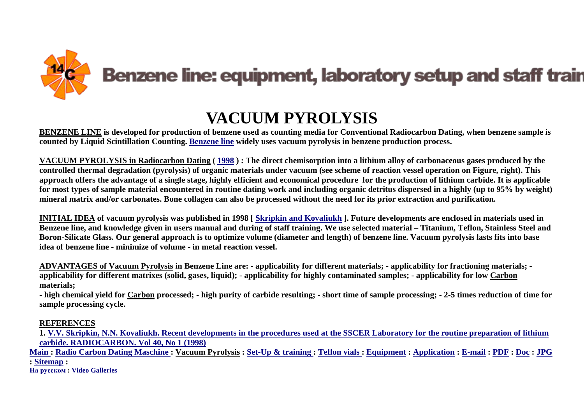

## **VACUUM PYROLYSIS**

**BENZENE LINE is developed for production of benzene used as counting media for Conventional Radiocarbon Dating, when benzene sample is counted by Liquid Scintillation Counting. [Benzene line](http://benzene-line.com/pdf/benzeneline.pdf) widely uses vacuum pyrolysis in benzene production process.** 

**VACUUM PYROLYSIS in Radiocarbon Dating ( [1998](http://benzene-line.com/pdf/2005-2254-1-PB.pdf) ) : The direct chemisorption into a lithium alloy of carbonaceous gases produced by the controlled thermal degradation (pyrolysis) of organic materials under vacuum (see scheme of reaction vessel operation on Figure, right). This approach offers the advantage of a single stage, highly efficient and economical procedure for the production of lithium carbide. It is applicable for most types of sample material encountered in routine dating work and including organic detritus dispersed in a highly (up to 95% by weight) mineral matrix and/or carbonates. Bone collagen can also be processed without the need for its prior extraction and purification.** 

**INITIAL IDEA of vacuum pyrolysis was published in 1998 [ [Skripkin and Kovaliukh](http://benzene-line.com/pdf/2005-2254-1-PB.pdf) ]. Future developments are enclosed in materials used in Benzene line, and knowledge given in users manual and during of staff training. We use selected material – Titanium, Teflon, Stainless Steel and Boron-Silicate Glass. Our general approach is to optimize volume (diameter and length) of benzene line. Vacuum pyrolysis lasts fits into base idea of benzene line - minimize of volume - in metal reaction vessel.** 

**ADVANTAGES of Vacuum Pyrolysis in Benzene Line are: - applicability for different materials; - applicability for fractioning materials; applicability for different matrixes (solid, gases, liquid); - applicability for highly contaminated samples; - applicability for low Carbon materials;** 

**- high chemical yield for Carbon processed; - high purity of carbide resulting; - short time of sample processing; - 2-5 times reduction of time for sample processing cycle.** 

## **REFERENCES**

**1. [V.V. Skripkin, N.N. Kovaliukh. Recent developments in the procedures used at the SSCER Laboratory for the routine preparation of lithium](http://benzene-line.com/pdf/2005-2254-1-PB.pdf)  [carbide. RADIOCARBON. Vol 40, No 1 \(1998\)](http://benzene-line.com/pdf/2005-2254-1-PB.pdf)** 

Main: Radio Carbon Dating Maschine: Vacuum Pyrolysis: Set-Up & training: Teflon vials: [Equipment](http://benzene-line.com/equipment.htm): [Application](http://benzene-line.com/application.htm): [E-mail](mailto:benzeneline@gmail.com): [PDF](http://benzene-line.com/pdf/index.html): [Doc](http://benzene-line.com/doc/index.html): [JPG](http://benzene-line.com/images/index.html) **: [Sitemap](http://benzene-line.com/sitemap.htm) :** 

**[На русском](http://benzene-line.com/index-ru.html) : [Video Galleries](http://benzene-line.com/videos.html)**